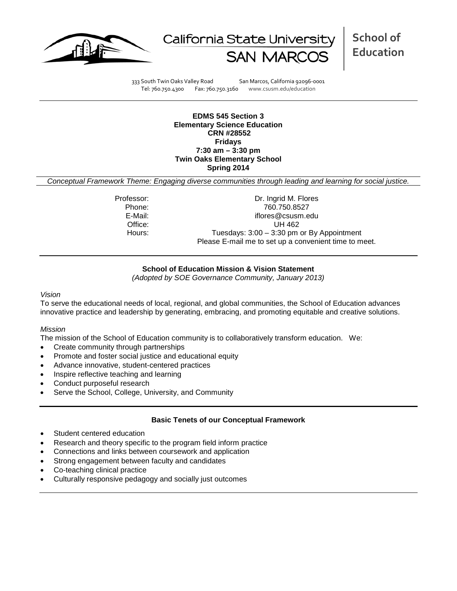



333 South Twin Oaks Valley Road San Marcos, California 92096-0001 Tel: 760.750.4300 Fax: 760.750.3160 www.csusm.edu/education

**EDMS 545 Section 3 Elementary Science Education CRN #28552 Fridays 7:30 am – 3:30 pm Twin Oaks Elementary School Spring 2014** 

*Conceptual Framework Theme: Engaging diverse communities through leading and learning for social justice.*

Professor: Dr. Ingrid M. Flores Phone: 760.750.8527<br>E-Mail: 760.750.8527<br>F-Mail: 760.750.8527 iflores@csusm.edu Office: UH 462 Hours: Tuesdays: 3:00 - 3:30 pm or By Appointment Please E-mail me to set up a convenient time to meet.

# **School of Education Mission & Vision Statement**

*(Adopted by SOE Governance Community, January 2013)*

#### *Vision*

To serve the educational needs of local, regional, and global communities, the School of Education advances innovative practice and leadership by generating, embracing, and promoting equitable and creative solutions.

### *Mission*

The mission of the School of Education community is to collaboratively transform education. We:

- Create community through partnerships
- Promote and foster social justice and educational equity
- Advance innovative, student-centered practices
- Inspire reflective teaching and learning
- Conduct purposeful research
- Serve the School, College, University, and Community

### **Basic Tenets of our Conceptual Framework**

- Student centered education
- Research and theory specific to the program field inform practice
- Connections and links between coursework and application
- Strong engagement between faculty and candidates
- Co-teaching clinical practice
- Culturally responsive pedagogy and socially just outcomes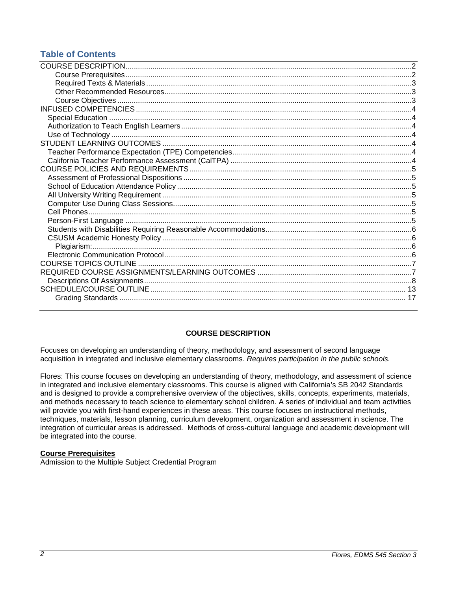# **Table of Contents**

# **COURSE DESCRIPTION**

<span id="page-1-0"></span>Focuses on developing an understanding of theory, methodology, and assessment of second language acquisition in integrated and inclusive elementary classrooms. *Requires participation in the public schools.*

Flores: This course focuses on developing an understanding of theory, methodology, and assessment of science in integrated and inclusive elementary classrooms. This course is aligned with California's SB 2042 Standards and is designed to provide a comprehensive overview of the objectives, skills, concepts, experiments, materials, and methods necessary to teach science to elementary school children. A series of individual and team activities will provide you with first-hand experiences in these areas. This course focuses on instructional methods, techniques, materials, lesson planning, curriculum development, organization and assessment in science. The integration of curricular areas is addressed. Methods of cross-cultural language and academic development will be integrated into the course.

### <span id="page-1-1"></span>**Course Prerequisites**

<span id="page-1-2"></span>Admission to the Multiple Subject Credential Program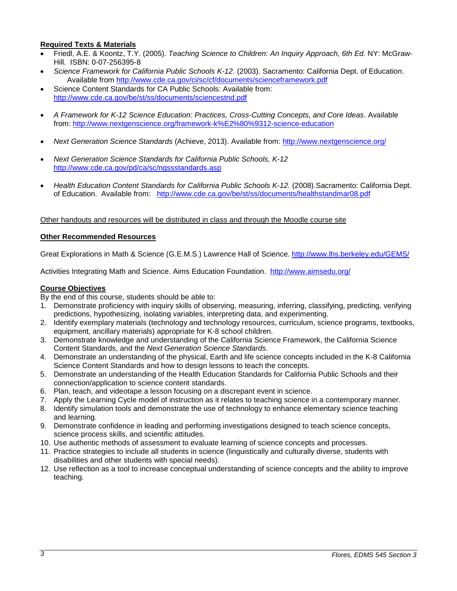# **Required Texts & Materials**

- Friedl, A.E. & Koontz, T.Y. (2005). *Teaching Science to Children: An Inquiry Approach, 6th Ed.* NY: McGraw-Hill. ISBN: 0-07-256395-8
- *Science Framework for California Public Schools K-12*. (2003). Sacramento: California Dept. of Education. Available from<http://www.cde.ca.gov/ci/sc/cf/documents/scienceframework.pdf>
- Science Content Standards for CA Public Schools: Available from: <http://www.cde.ca.gov/be/st/ss/documents/sciencestnd.pdf>
- *A Framework for K-12 Science Education: Practices, Cross-Cutting Concepts, and Core Ideas*. Available from: <http://www.nextgenscience.org/framework-k%E2%80%9312-science-education>
- *Next Generation Science Standards* (Achieve, 2013). Available from:<http://www.nextgenscience.org/>
- *Next Generation Science Standards for California Public Schools, K-12* <http://www.cde.ca.gov/pd/ca/sc/ngssstandards.asp>
- *Health Education Content Standards for California Public Schools K-12.* (2008).Sacramento: California Dept. of Education. Available from: <http://www.cde.ca.gov/be/st/ss/documents/healthstandmar08.pdf>

# Other handouts and resources will be distributed in class and through the Moodle course site

### <span id="page-2-0"></span>**Other Recommended Resources**

Great Explorations in Math & Science (G.E.M.S.) Lawrence Hall of Science.<http://www.lhs.berkeley.edu/GEMS/>

Activities Integrating Math and Science. Aims Education Foundation. <http://www.aimsedu.org/>

#### <span id="page-2-1"></span>**Course Objectives**

By the end of this course, students should be able to:

- 1. Demonstrate proficiency with inquiry skills of observing, measuring, inferring, classifying, predicting, verifying predictions, hypothesizing, isolating variables, interpreting data, and experimenting.
- 2. Identify exemplary materials (technology and technology resources, curriculum, science programs, textbooks, equipment, ancillary materials) appropriate for K-8 school children.
- 3. Demonstrate knowledge and understanding of the California Science Framework, the California Science Content Standards, and the *Next Generation Science Standards*.
- 4. Demonstrate an understanding of the physical, Earth and life science concepts included in the K-8 California Science Content Standards and how to design lessons to teach the concepts.
- 5. Demonstrate an understanding of the Health Education Standards for California Public Schools and their connection/application to science content standards.
- 6. Plan, teach, and videotape a lesson focusing on a discrepant event in science.
- 7. Apply the Learning Cycle model of instruction as it relates to teaching science in a contemporary manner.
- 8. Identify simulation tools and demonstrate the use of technology to enhance elementary science teaching and learning.
- 9. Demonstrate confidence in leading and performing investigations designed to teach science concepts, science process skills, and scientific attitudes.
- 10. Use authentic methods of assessment to evaluate learning of science concepts and processes.
- 11. Practice strategies to include all students in science (linguistically and culturally diverse, students with disabilities and other students with special needs).
- <span id="page-2-2"></span>12. Use reflection as a tool to increase conceptual understanding of science concepts and the ability to improve teaching.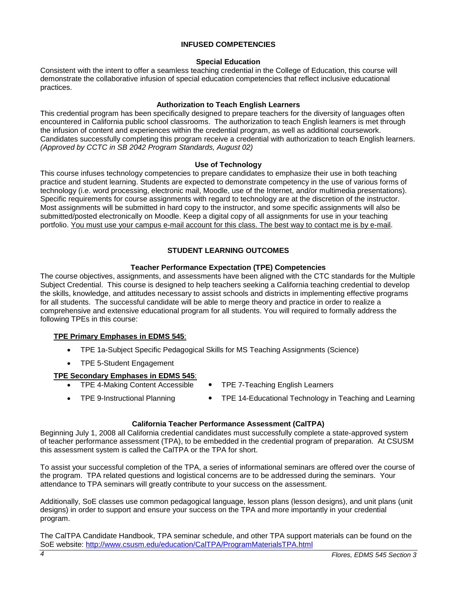# **INFUSED COMPETENCIES**

# **Special Education**

<span id="page-3-0"></span>Consistent with the intent to offer a seamless teaching credential in the College of Education, this course will demonstrate the collaborative infusion of special education competencies that reflect inclusive educational practices.

# **Authorization to Teach English Learners**

<span id="page-3-1"></span>This credential program has been specifically designed to prepare teachers for the diversity of languages often encountered in California public school classrooms. The authorization to teach English learners is met through the infusion of content and experiences within the credential program, as well as additional coursework. Candidates successfully completing this program receive a credential with authorization to teach English learners. *(Approved by CCTC in SB 2042 Program Standards, August 02)*

# **Use of Technology**

<span id="page-3-2"></span>This course infuses technology competencies to prepare candidates to emphasize their use in both teaching practice and student learning. Students are expected to demonstrate competency in the use of various forms of technology (i.e. word processing, electronic mail, Moodle, use of the Internet, and/or multimedia presentations). Specific requirements for course assignments with regard to technology are at the discretion of the instructor. Most assignments will be submitted in hard copy to the instructor, and some specific assignments will also be submitted/posted electronically on Moodle. Keep a digital copy of all assignments for use in your teaching portfolio. You must use your campus e-mail account for this class. The best way to contact me is by e-mail.

# **STUDENT LEARNING OUTCOMES**

# **Teacher Performance Expectation (TPE) Competencies**

<span id="page-3-4"></span><span id="page-3-3"></span>The course objectives, assignments, and assessments have been aligned with the CTC standards for the Multiple Subject Credential. This course is designed to help teachers seeking a California teaching credential to develop the skills, knowledge, and attitudes necessary to assist schools and districts in implementing effective programs for all students. The successful candidate will be able to merge theory and practice in order to realize a comprehensive and extensive educational program for all students. You will required to formally address the following TPEs in this course:

# **TPE Primary Emphases in EDMS 545**:

- TPE 1a-Subject Specific Pedagogical Skills for MS Teaching Assignments (Science)
- TPE 5-Student Engagement

# **TPE Secondary Emphases in EDMS 545**:

- 
- TPE 4-Making Content Accessible TPE 7-Teaching English Learners
- 
- TPE 9-Instructional Planning TPE 14-Educational Technology in Teaching and Learning

### **California Teacher Performance Assessment (CalTPA)**

<span id="page-3-5"></span>Beginning July 1, 2008 all California credential candidates must successfully complete a state-approved system of teacher performance assessment (TPA), to be embedded in the credential program of preparation. At CSUSM this assessment system is called the CalTPA or the TPA for short.

To assist your successful completion of the TPA, a series of informational seminars are offered over the course of the program. TPA related questions and logistical concerns are to be addressed during the seminars. Your attendance to TPA seminars will greatly contribute to your success on the assessment.

Additionally, SoE classes use common pedagogical language, lesson plans (lesson designs), and unit plans (unit designs) in order to support and ensure your success on the TPA and more importantly in your credential program.

<span id="page-3-6"></span>The CalTPA Candidate Handbook, TPA seminar schedule, and other TPA support materials can be found on the SoE website: <http://www.csusm.edu/education/CalTPA/ProgramMaterialsTPA.html>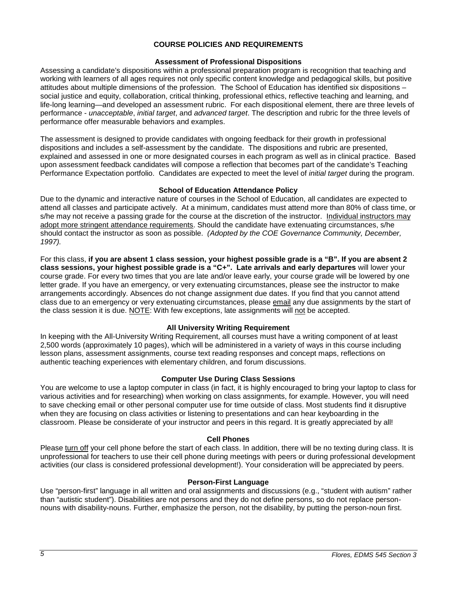# **COURSE POLICIES AND REQUIREMENTS**

# **Assessment of Professional Dispositions**

<span id="page-4-0"></span>Assessing a candidate's dispositions within a professional preparation program is recognition that teaching and working with learners of all ages requires not only specific content knowledge and pedagogical skills, but positive attitudes about multiple dimensions of the profession. The School of Education has identified six dispositions – social justice and equity, collaboration, critical thinking, professional ethics, reflective teaching and learning, and life-long learning—and developed an assessment rubric. For each dispositional element, there are three levels of performance - *unacceptable*, *initial target*, and *advanced target*. The description and rubric for the three levels of performance offer measurable behaviors and examples.

The assessment is designed to provide candidates with ongoing feedback for their growth in professional dispositions and includes a self-assessment by the candidate. The dispositions and rubric are presented, explained and assessed in one or more designated courses in each program as well as in clinical practice. Based upon assessment feedback candidates will compose a reflection that becomes part of the candidate's Teaching Performance Expectation portfolio. Candidates are expected to meet the level of *initial target* during the program.

# **School of Education Attendance Policy**

<span id="page-4-1"></span>Due to the dynamic and interactive nature of courses in the School of Education, all candidates are expected to attend all classes and participate actively. At a minimum, candidates must attend more than 80% of class time, or s/he may not receive a passing grade for the course at the discretion of the instructor. Individual instructors may adopt more stringent attendance requirements. Should the candidate have extenuating circumstances, s/he should contact the instructor as soon as possible. *(Adopted by the COE Governance Community, December, 1997).*

For this class, **if you are absent 1 class session, your highest possible grade is a "B". If you are absent 2 class sessions, your highest possible grade is a "C+". Late arrivals and early departures** will lower your course grade. For every two times that you are late and/or leave early, your course grade will be lowered by one letter grade. If you have an emergency, or very extenuating circumstances, please see the instructor to make arrangements accordingly. Absences do not change assignment due dates. If you find that you cannot attend class due to an emergency or very extenuating circumstances, please email any due assignments by the start of the class session it is due. NOTE: With few exceptions, late assignments will not be accepted.

# **All University Writing Requirement**

<span id="page-4-2"></span>In keeping with the All-University Writing Requirement, all courses must have a writing component of at least 2,500 words (approximately 10 pages), which will be administered in a variety of ways in this course including lesson plans, assessment assignments, course text reading responses and concept maps, reflections on authentic teaching experiences with elementary children, and forum discussions.

### **Computer Use During Class Sessions**

<span id="page-4-3"></span>You are welcome to use a laptop computer in class (in fact, it is highly encouraged to bring your laptop to class for various activities and for researching) when working on class assignments, for example. However, you will need to save checking email or other personal computer use for time outside of class. Most students find it disruptive when they are focusing on class activities or listening to presentations and can hear keyboarding in the classroom. Please be considerate of your instructor and peers in this regard. It is greatly appreciated by all!

### **Cell Phones**

<span id="page-4-4"></span>Please turn off your cell phone before the start of each class. In addition, there will be no texting during class. It is unprofessional for teachers to use their cell phone during meetings with peers or during professional development activities (our class is considered professional development!). Your consideration will be appreciated by peers.

# **Person-First Language**

<span id="page-4-6"></span><span id="page-4-5"></span>Use "person-first" language in all written and oral assignments and discussions (e.g., "student with autism" rather than "autistic student"). Disabilities are not persons and they do not define persons, so do not replace personnouns with disability-nouns. Further, emphasize the person, not the disability, by putting the person-noun first.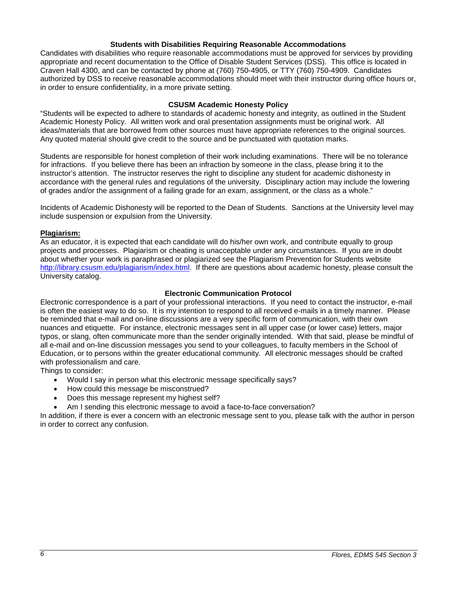### **Students with Disabilities Requiring Reasonable Accommodations**

Candidates with disabilities who require reasonable accommodations must be approved for services by providing appropriate and recent documentation to the Office of Disable Student Services (DSS). This office is located in Craven Hall 4300, and can be contacted by phone at (760) 750-4905, or TTY (760) 750-4909. Candidates authorized by DSS to receive reasonable accommodations should meet with their instructor during office hours or, in order to ensure confidentiality, in a more private setting.

# **CSUSM Academic Honesty Policy**

<span id="page-5-0"></span>"Students will be expected to adhere to standards of academic honesty and integrity, as outlined in the Student Academic Honesty Policy. All written work and oral presentation assignments must be original work. All ideas/materials that are borrowed from other sources must have appropriate references to the original sources. Any quoted material should give credit to the source and be punctuated with quotation marks.

Students are responsible for honest completion of their work including examinations. There will be no tolerance for infractions. If you believe there has been an infraction by someone in the class, please bring it to the instructor's attention. The instructor reserves the right to discipline any student for academic dishonesty in accordance with the general rules and regulations of the university. Disciplinary action may include the lowering of grades and/or the assignment of a failing grade for an exam, assignment, or the class as a whole."

Incidents of Academic Dishonesty will be reported to the Dean of Students. Sanctions at the University level may include suspension or expulsion from the University.

# <span id="page-5-1"></span>**Plagiarism:**

As an educator, it is expected that each candidate will do his/her own work, and contribute equally to group projects and processes. Plagiarism or cheating is unacceptable under any circumstances. If you are in doubt about whether your work is paraphrased or plagiarized see the Plagiarism Prevention for Students website [http://library.csusm.edu/plagiarism/index.html.](http://library.csusm.edu/plagiarism/index.html) If there are questions about academic honesty, please consult the University catalog.

# **Electronic Communication Protocol**

<span id="page-5-2"></span>Electronic correspondence is a part of your professional interactions. If you need to contact the instructor, e-mail is often the easiest way to do so. It is my intention to respond to all received e-mails in a timely manner. Please be reminded that e-mail and on-line discussions are a very specific form of communication, with their own nuances and etiquette. For instance, electronic messages sent in all upper case (or lower case) letters, major typos, or slang, often communicate more than the sender originally intended. With that said, please be mindful of all e-mail and on-line discussion messages you send to your colleagues, to faculty members in the School of Education, or to persons within the greater educational community. All electronic messages should be crafted with professionalism and care.

Things to consider:

- Would I say in person what this electronic message specifically says?
- How could this message be misconstrued?
- Does this message represent my highest self?
- Am I sending this electronic message to avoid a face-to-face conversation?

<span id="page-5-3"></span>In addition, if there is ever a concern with an electronic message sent to you, please talk with the author in person in order to correct any confusion.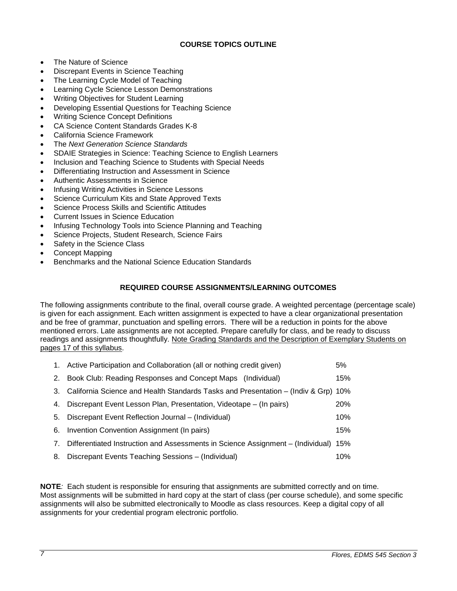# **COURSE TOPICS OUTLINE**

- The Nature of Science
- Discrepant Events in Science Teaching
- The Learning Cycle Model of Teaching
- Learning Cycle Science Lesson Demonstrations
- Writing Objectives for Student Learning
- Developing Essential Questions for Teaching Science
- Writing Science Concept Definitions
- CA Science Content Standards Grades K-8
- California Science Framework
- The *Next Generation Science Standards*
- SDAIE Strategies in Science: Teaching Science to English Learners
- Inclusion and Teaching Science to Students with Special Needs
- Differentiating Instruction and Assessment in Science
- Authentic Assessments in Science
- Infusing Writing Activities in Science Lessons
- Science Curriculum Kits and State Approved Texts
- Science Process Skills and Scientific Attitudes
- Current Issues in Science Education
- Infusing Technology Tools into Science Planning and Teaching
- Science Projects, Student Research, Science Fairs
- Safety in the Science Class
- Concept Mapping
- Benchmarks and the National Science Education Standards

# **REQUIRED COURSE ASSIGNMENTS/LEARNING OUTCOMES**

<span id="page-6-0"></span>The following assignments contribute to the final, overall course grade. A weighted percentage (percentage scale) is given for each assignment. Each written assignment is expected to have a clear organizational presentation and be free of grammar, punctuation and spelling errors. There will be a reduction in points for the above mentioned errors. Late assignments are not accepted. Prepare carefully for class, and be ready to discuss readings and assignments thoughtfully. Note Grading Standards and the Description of Exemplary Students on pages 17 of this syllabus.

|    | 1. Active Participation and Collaboration (all or nothing credit given)               | 5%     |
|----|---------------------------------------------------------------------------------------|--------|
| 2. | Book Club: Reading Responses and Concept Maps (Individual)                            | 15%    |
|    | 3. California Science and Health Standards Tasks and Presentation – (Indiv & Grp) 10% |        |
| 4. | Discrepant Event Lesson Plan, Presentation, Videotape – (In pairs)                    | 20%    |
|    | 5. Discrepant Event Reflection Journal – (Individual)                                 | $10\%$ |
| 6. | Invention Convention Assignment (In pairs)                                            | 15%    |
| 7. | Differentiated Instruction and Assessments in Science Assignment - (Individual)       | 15%    |
| 8. | Discrepant Events Teaching Sessions - (Individual)                                    | 10%    |

<span id="page-6-1"></span>**NOTE***:* Each student is responsible for ensuring that assignments are submitted correctly and on time. Most assignments will be submitted in hard copy at the start of class (per course schedule), and some specific assignments will also be submitted electronically to Moodle as class resources. Keep a digital copy of all assignments for your credential program electronic portfolio.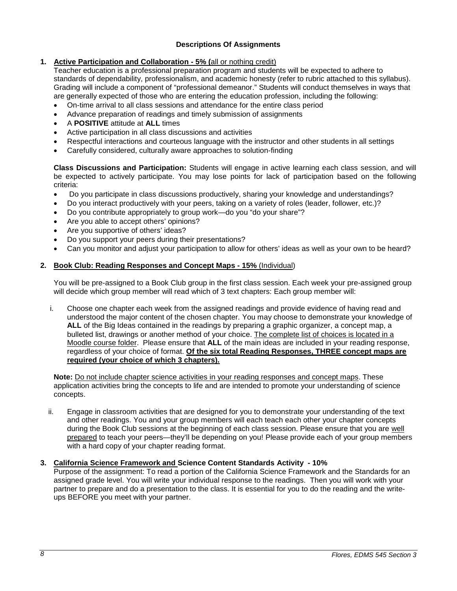# **Descriptions Of Assignments**

# **1. Active Participation and Collaboration - 5% (**all or nothing credit)

Teacher education is a professional preparation program and students will be expected to adhere to standards of dependability, professionalism, and academic honesty (refer to rubric attached to this syllabus). Grading will include a component of "professional demeanor." Students will conduct themselves in ways that are generally expected of those who are entering the education profession, including the following:

- On-time arrival to all class sessions and attendance for the entire class period
- Advance preparation of readings and timely submission of assignments
- A **POSITIVE** attitude at **ALL** times
- Active participation in all class discussions and activities
- Respectful interactions and courteous language with the instructor and other students in all settings
- Carefully considered, culturally aware approaches to solution-finding

**Class Discussions and Participation:** Students will engage in active learning each class session, and will be expected to actively participate. You may lose points for lack of participation based on the following criteria:

- Do you participate in class discussions productively, sharing your knowledge and understandings?
- Do you interact productively with your peers, taking on a variety of roles (leader, follower, etc.)?
- Do you contribute appropriately to group work—do you "do your share"?
- Are you able to accept others' opinions?
- Are you supportive of others' ideas?
- Do you support your peers during their presentations?
- Can you monitor and adjust your participation to allow for others' ideas as well as your own to be heard?

# **2. Book Club: Reading Responses and Concept Maps - 15%** (Individual)

You will be pre-assigned to a Book Club group in the first class session. Each week your pre-assigned group will decide which group member will read which of 3 text chapters: Each group member will:

i. Choose one chapter each week from the assigned readings and provide evidence of having read and understood the major content of the chosen chapter. You may choose to demonstrate your knowledge of **ALL** of the Big Ideas contained in the readings by preparing a graphic organizer, a concept map, a bulleted list, drawings or another method of your choice. The complete list of choices is located in a Moodle course folder. Please ensure that **ALL** of the main ideas are included in your reading response, regardless of your choice of format. **Of the six total Reading Responses, THREE concept maps are required (your choice of which 3 chapters).**

**Note:** Do not include chapter science activities in your reading responses and concept maps. These application activities bring the concepts to life and are intended to promote your understanding of science concepts.

ii. Engage in classroom activities that are designed for you to demonstrate your understanding of the text and other readings. You and your group members will each teach each other your chapter concepts during the Book Club sessions at the beginning of each class session. Please ensure that you are well prepared to teach your peers—they'll be depending on you! Please provide each of your group members with a hard copy of your chapter reading format.

# **3. California Science Framework and Science Content Standards Activity - 10%**

Purpose of the assignment: To read a portion of the California Science Framework and the Standards for an assigned grade level. You will write your individual response to the readings. Then you will work with your partner to prepare and do a presentation to the class. It is essential for you to do the reading and the writeups BEFORE you meet with your partner.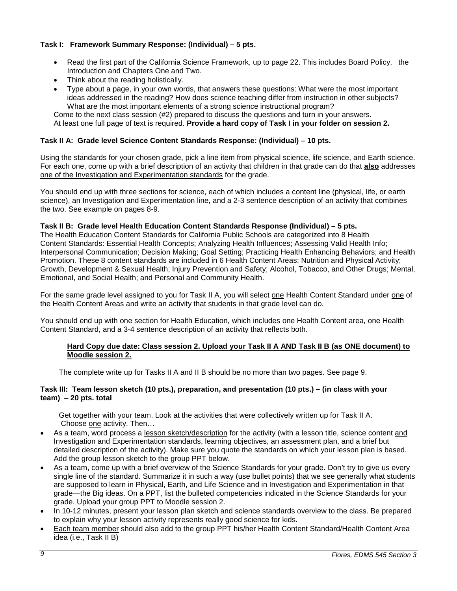# **Task I: Framework Summary Response: (Individual) – 5 pts.**

- Read the first part of the California Science Framework, up to page 22. This includes Board Policy, the Introduction and Chapters One and Two.
- Think about the reading holistically.
- Type about a page, in your own words, that answers these questions: What were the most important ideas addressed in the reading? How does science teaching differ from instruction in other subjects? What are the most important elements of a strong science instructional program?

Come to the next class session (#2) prepared to discuss the questions and turn in your answers. At least one full page of text is required. **Provide a hard copy of Task I in your folder on session 2.**

# **Task II A: Grade level Science Content Standards Response: (Individual) – 10 pts.**

Using the standards for your chosen grade, pick a line item from physical science, life science, and Earth science. For each one, come up with a brief description of an activity that children in that grade can do that **also** addresses one of the Investigation and Experimentation standards for the grade.

You should end up with three sections for science, each of which includes a content line (physical, life, or earth science), an Investigation and Experimentation line, and a 2-3 sentence description of an activity that combines the two. See example on pages 8-9.

# **Task II B: Grade level Health Education Content Standards Response (Individual) – 5 pts.**

The Health Education Content Standards for California Public Schools are categorized into 8 Health Content Standards: Essential Health Concepts; Analyzing Health Influences; Assessing Valid Health Info; Interpersonal Communication; Decision Making; Goal Setting; Practicing Health Enhancing Behaviors; and Health Promotion. These 8 content standards are included in 6 Health Content Areas: Nutrition and Physical Activity; Growth, Development & Sexual Health; Injury Prevention and Safety; Alcohol, Tobacco, and Other Drugs; Mental, Emotional, and Social Health; and Personal and Community Health.

For the same grade level assigned to you for Task II A, you will select one Health Content Standard under one of the Health Content Areas and write an activity that students in that grade level can do.

You should end up with one section for Health Education, which includes one Health Content area, one Health Content Standard, and a 3-4 sentence description of an activity that reflects both.

### **Hard Copy due date: Class session 2. Upload your Task II A AND Task II B (as ONE document) to Moodle session 2.**

The complete write up for Tasks II A and II B should be no more than two pages. See page 9.

# **Task III: Team lesson sketch (10 pts.), preparation, and presentation (10 pts.) – (in class with your team)** – **20 pts. total**

 Get together with your team. Look at the activities that were collectively written up for Task II A. Choose one activity. Then…

- As a team, word process a lesson sketch/description for the activity (with a lesson title, science content and Investigation and Experimentation standards, learning objectives, an assessment plan, and a brief but detailed description of the activity). Make sure you quote the standards on which your lesson plan is based. Add the group lesson sketch to the group PPT below.
- As a team, come up with a brief overview of the Science Standards for your grade. Don't try to give us every single line of the standard. Summarize it in such a way (use bullet points) that we see generally what students are supposed to learn in Physical, Earth, and Life Science and in Investigation and Experimentation in that grade—the Big ideas. On a PPT, list the bulleted competencies indicated in the Science Standards for your grade. Upload your group PPT to Moodle session 2.
- In 10-12 minutes, present your lesson plan sketch and science standards overview to the class. Be prepared to explain why your lesson activity represents really good science for kids.
- Each team member should also add to the group PPT his/her Health Content Standard/Health Content Area idea (i.e., Task II B)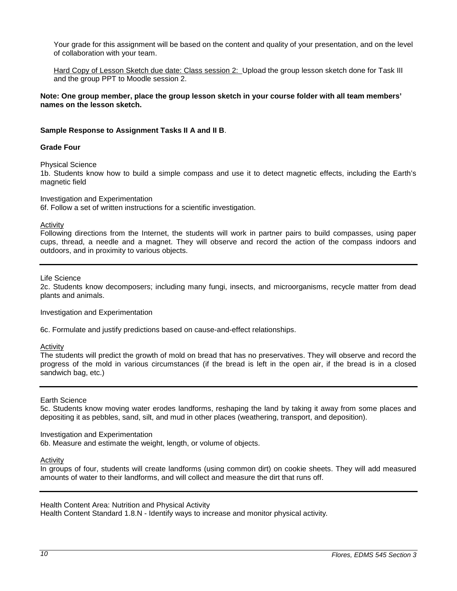Your grade for this assignment will be based on the content and quality of your presentation, and on the level of collaboration with your team.

Hard Copy of Lesson Sketch due date: Class session 2: Upload the group lesson sketch done for Task III and the group PPT to Moodle session 2.

**Note: One group member, place the group lesson sketch in your course folder with all team members' names on the lesson sketch.**

### **Sample Response to Assignment Tasks II A and II B**.

### **Grade Four**

Physical Science

1b. Students know how to build a simple compass and use it to detect magnetic effects, including the Earth's magnetic field

Investigation and Experimentation

6f. Follow a set of written instructions for a scientific investigation.

Activity

Following directions from the Internet, the students will work in partner pairs to build compasses, using paper cups, thread, a needle and a magnet. They will observe and record the action of the compass indoors and outdoors, and in proximity to various objects.

Life Science

2c. Students know decomposers; including many fungi, insects, and microorganisms, recycle matter from dead plants and animals.

Investigation and Experimentation

6c. Formulate and justify predictions based on cause-and-effect relationships.

Activity

The students will predict the growth of mold on bread that has no preservatives. They will observe and record the progress of the mold in various circumstances (if the bread is left in the open air, if the bread is in a closed sandwich bag, etc.)

#### Earth Science

5c. Students know moving water erodes landforms, reshaping the land by taking it away from some places and depositing it as pebbles, sand, silt, and mud in other places (weathering, transport, and deposition).

### Investigation and Experimentation

6b. Measure and estimate the weight, length, or volume of objects.

Activity

In groups of four, students will create landforms (using common dirt) on cookie sheets. They will add measured amounts of water to their landforms, and will collect and measure the dirt that runs off.

Health Content Area: Nutrition and Physical Activity

Health Content Standard 1.8.N - Identify ways to increase and monitor physical activity*.*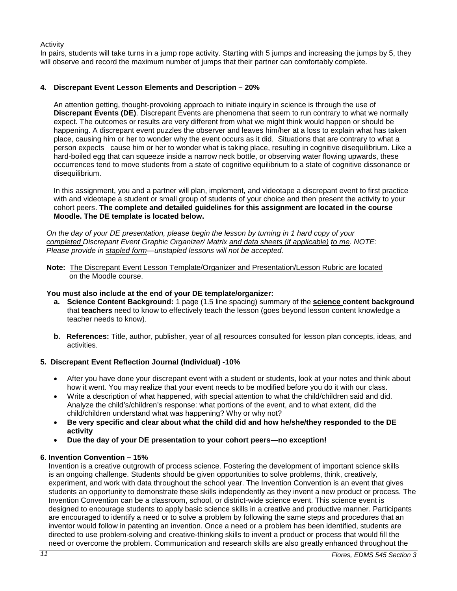Activity

In pairs, students will take turns in a jump rope activity. Starting with 5 jumps and increasing the jumps by 5, they will observe and record the maximum number of jumps that their partner can comfortably complete.

# **4. Discrepant Event Lesson Elements and Description – 20%**

An attention getting, thought-provoking approach to initiate inquiry in science is through the use of **Discrepant Events (DE)**. Discrepant Events are phenomena that seem to run contrary to what we normally expect. The outcomes or results are very different from what we might think would happen or should be happening. A discrepant event puzzles the observer and leaves him/her at a loss to explain what has taken place, causing him or her to wonder why the event occurs as it did. Situations that are contrary to what a person expects cause him or her to wonder what is taking place, resulting in cognitive disequilibrium. Like a hard-boiled egg that can squeeze inside a narrow neck bottle, or observing water flowing upwards, these occurrences tend to move students from a state of cognitive equilibrium to a state of cognitive dissonance or disequilibrium.

In this assignment, you and a partner will plan, implement, and videotape a discrepant event to first practice with and videotape a student or small group of students of your choice and then present the activity to your cohort peers. **The complete and detailed guidelines for this assignment are located in the course Moodle. The DE template is located below.**

*On the day of your DE presentation, please begin the lesson by turning in 1 hard copy of your completed Discrepant Event Graphic Organizer/ Matrix and data sheets (if applicable) to me. NOTE: Please provide in stapled form—unstapled lessons will not be accepted.* 

 **Note:** The Discrepant Event Lesson Template/Organizer and Presentation/Lesson Rubric are located on the Moodle course.

# **You must also include at the end of your DE template/organizer:**

- **a. Science Content Background:** 1 page (1.5 line spacing) summary of the **science content background** that **teachers** need to know to effectively teach the lesson (goes beyond lesson content knowledge a teacher needs to know).
- **b. References:** Title, author, publisher, year of all resources consulted for lesson plan concepts, ideas, and activities.

# **5. Discrepant Event Reflection Journal (Individual) -10%**

- After you have done your discrepant event with a student or students, look at your notes and think about how it went. You may realize that your event needs to be modified before you do it with our class.
- Write a description of what happened, with special attention to what the child/children said and did. Analyze the child's/children's response: what portions of the event, and to what extent, did the child/children understand what was happening? Why or why not?
- **Be very specific and clear about what the child did and how he/she/they responded to the DE activity**
- **Due the day of your DE presentation to your cohort peers—no exception!**

# **6**. **Invention Convention – 15%**

Invention is a creative outgrowth of process science. Fostering the development of important science skills is an ongoing challenge. Students should be given opportunities to solve problems, think, creatively, experiment, and work with data throughout the school year. The Invention Convention is an event that gives students an opportunity to demonstrate these skills independently as they invent a new product or process. The Invention Convention can be a classroom, school, or district-wide science event. This science event is designed to encourage students to apply basic science skills in a creative and productive manner. Participants are encouraged to identify a need or to solve a problem by following the same steps and procedures that an inventor would follow in patenting an invention. Once a need or a problem has been identified, students are directed to use problem-solving and creative-thinking skills to invent a product or process that would fill the need or overcome the problem. Communication and research skills are also greatly enhanced throughout the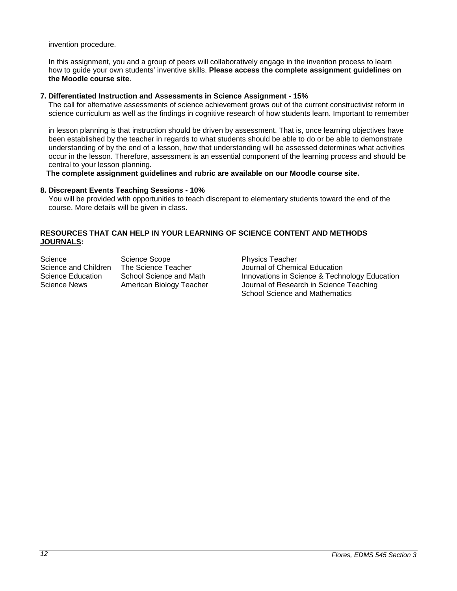invention procedure.

 In this assignment, you and a group of peers will collaboratively engage in the invention process to learn how to guide your own students' inventive skills. **Please access the complete assignment guidelines on the Moodle course site**.

# **7. Differentiated Instruction and Assessments in Science Assignment - 15%**

The call for alternative assessments of science achievement grows out of the current constructivist reform in science curriculum as well as the findings in cognitive research of how students learn. Important to remember

 in lesson planning is that instruction should be driven by assessment. That is, once learning objectives have been established by the teacher in regards to what students should be able to do or be able to demonstrate understanding of by the end of a lesson, how that understanding will be assessed determines what activities occur in the lesson. Therefore, assessment is an essential component of the learning process and should be central to your lesson planning.

**The complete assignment guidelines and rubric are available on our Moodle course site.**

# **8. Discrepant Events Teaching Sessions - 10%**

 You will be provided with opportunities to teach discrepant to elementary students toward the end of the course. More details will be given in class.

# **RESOURCES THAT CAN HELP IN YOUR LEARNING OF SCIENCE CONTENT AND METHODS JOURNALS:**

Science Scope Science Scope<br>Science and Children The Science Teacher Science Scournal of Chemi Science and Children The Science Teacher Journal of Chemical Education<br>Science Education School Science and Math Innovations in Science & Techn Science News American Biology Teacher Journal of Research in Science Teaching

Innovations in Science & Technology Education School Science and Mathematics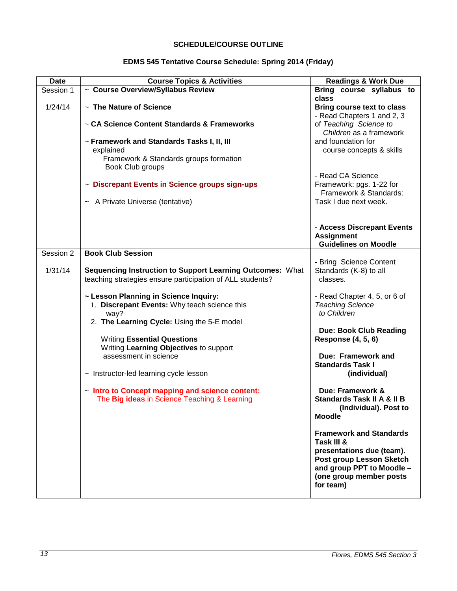# **SCHEDULE/COURSE OUTLINE**

# **EDMS 545 Tentative Course Schedule: Spring 2014 (Friday)**

<span id="page-12-0"></span>

| <b>Date</b> | <b>Course Topics &amp; Activities</b>                                                                                                       | <b>Readings &amp; Work Due</b>                                                                                                                                             |
|-------------|---------------------------------------------------------------------------------------------------------------------------------------------|----------------------------------------------------------------------------------------------------------------------------------------------------------------------------|
| Session 1   | ~ Course Overview/Syllabus Review                                                                                                           | Bring course syllabus to                                                                                                                                                   |
| 1/24/14     | $\sim$ The Nature of Science                                                                                                                | class<br>Bring course text to class<br>- Read Chapters 1 and 2, 3                                                                                                          |
|             | ~ CA Science Content Standards & Frameworks                                                                                                 | of Teaching Science to<br>Children as a framework                                                                                                                          |
|             | ~ Framework and Standards Tasks I, II, III<br>explained<br>Framework & Standards groups formation<br>Book Club groups                       | and foundation for<br>course concepts & skills                                                                                                                             |
|             | ~ Discrepant Events in Science groups sign-ups                                                                                              | - Read CA Science<br>Framework: pgs. 1-22 for<br>Framework & Standards:                                                                                                    |
|             | ~ A Private Universe (tentative)                                                                                                            | Task I due next week.                                                                                                                                                      |
|             |                                                                                                                                             | - Access Discrepant Events<br><b>Assignment</b><br><b>Guidelines on Moodle</b>                                                                                             |
| Session 2   | <b>Book Club Session</b>                                                                                                                    |                                                                                                                                                                            |
| 1/31/14     | Sequencing Instruction to Support Learning Outcomes: What<br>teaching strategies ensure participation of ALL students?                      | - Bring Science Content<br>Standards (K-8) to all<br>classes.                                                                                                              |
|             | ~ Lesson Planning in Science Inquiry:<br>1. Discrepant Events: Why teach science this<br>way?<br>2. The Learning Cycle: Using the 5-E model | - Read Chapter 4, 5, or 6 of<br><b>Teaching Science</b><br>to Children                                                                                                     |
|             | <b>Writing Essential Questions</b><br>Writing Learning Objectives to support                                                                | <b>Due: Book Club Reading</b><br><b>Response (4, 5, 6)</b>                                                                                                                 |
|             | assessment in science                                                                                                                       | Due: Framework and<br><b>Standards Task I</b>                                                                                                                              |
|             | $\sim$ Instructor-led learning cycle lesson                                                                                                 | (individual)                                                                                                                                                               |
|             | - Intro to Concept mapping and science content:<br>The Big ideas in Science Teaching & Learning                                             | Due: Framework &<br><b>Standards Task II A &amp; II B</b><br>(Individual). Post to<br><b>Moodle</b>                                                                        |
|             |                                                                                                                                             | <b>Framework and Standards</b><br>Task III &<br>presentations due (team).<br>Post group Lesson Sketch<br>and group PPT to Moodle -<br>(one group member posts<br>for team) |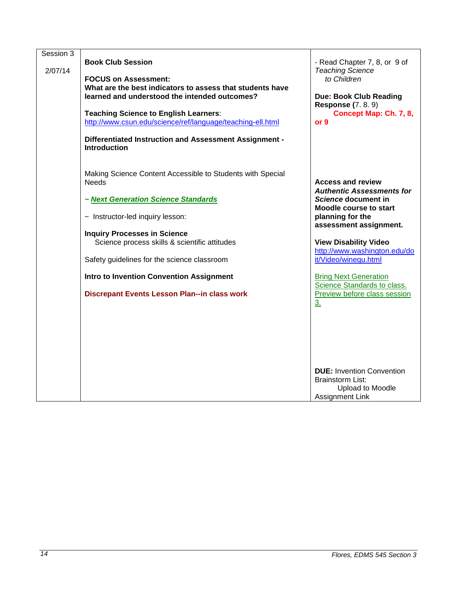| Session 3<br>2/07/14 | <b>Book Club Session</b><br><b>FOCUS on Assessment:</b><br>What are the best indicators to assess that students have<br>learned and understood the intended outcomes?<br><b>Teaching Science to English Learners:</b><br>http://www.csun.edu/science/ref/language/teaching-ell.html<br>Differentiated Instruction and Assessment Assignment -<br><b>Introduction</b> | - Read Chapter 7, 8, or 9 of<br><b>Teaching Science</b><br>to Children<br><b>Due: Book Club Reading</b><br><b>Response (7.8.9)</b><br>Concept Map: Ch. 7, 8,<br>or 9                                                                                       |
|----------------------|----------------------------------------------------------------------------------------------------------------------------------------------------------------------------------------------------------------------------------------------------------------------------------------------------------------------------------------------------------------------|------------------------------------------------------------------------------------------------------------------------------------------------------------------------------------------------------------------------------------------------------------|
|                      | Making Science Content Accessible to Students with Special<br><b>Needs</b><br>~ Next Generation Science Standards<br>$\sim$ Instructor-led inquiry lesson:<br><b>Inquiry Processes in Science</b><br>Science process skills & scientific attitudes                                                                                                                   | <b>Access and review</b><br><b>Authentic Assessments for</b><br>Science document in<br><b>Moodle course to start</b><br>planning for the<br>assessment assignment.<br><b>View Disability Video</b><br>http://www.washington.edu/do<br>it/Video/winequ.html |
|                      | Safety guidelines for the science classroom<br><b>Intro to Invention Convention Assignment</b><br><b>Discrepant Events Lesson Plan--in class work</b>                                                                                                                                                                                                                | <b>Bring Next Generation</b><br>Science Standards to class.<br>Preview before class session<br>3.                                                                                                                                                          |
|                      |                                                                                                                                                                                                                                                                                                                                                                      | <b>DUE: Invention Convention</b><br><b>Brainstorm List:</b><br>Upload to Moodle<br>Assignment Link                                                                                                                                                         |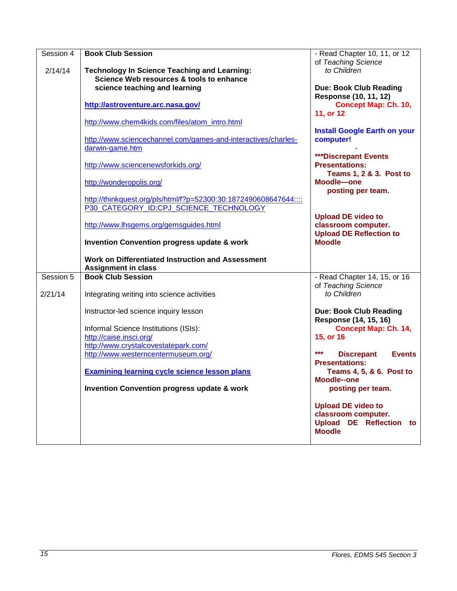| Session 4 | <b>Book Club Session</b>                                         | - Read Chapter 10, 11, or 12              |
|-----------|------------------------------------------------------------------|-------------------------------------------|
|           |                                                                  | of Teaching Science                       |
| 2/14/14   | <b>Technology In Science Teaching and Learning:</b>              | to Children                               |
|           | Science Web resources & tools to enhance                         |                                           |
|           |                                                                  |                                           |
|           | science teaching and learning                                    | <b>Due: Book Club Reading</b>             |
|           |                                                                  | Response (10, 11, 12)                     |
|           | http://astroventure.arc.nasa.gov/                                | <b>Concept Map: Ch. 10,</b>               |
|           |                                                                  | 11, or 12                                 |
|           | http://www.chem4kids.com/files/atom_intro.html                   |                                           |
|           |                                                                  | <b>Install Google Earth on your</b>       |
|           | http://www.sciencechannel.com/games-and-interactives/charles-    | computer!                                 |
|           | darwin-game.htm                                                  |                                           |
|           |                                                                  | <b>***Discrepant Events</b>               |
|           | http://www.sciencenewsforkids.org/                               | <b>Presentations:</b>                     |
|           |                                                                  | <b>Teams 1, 2 &amp; 3. Post to</b>        |
|           | http://wonderopolis.org/                                         | Moodle-one                                |
|           |                                                                  | posting per team.                         |
|           | http://thinkquest.org/pls/html/f?p=52300:30:1872490608647644:::: |                                           |
|           | P30 CATEGORY ID:CPJ SCIENCE TECHNOLOGY                           |                                           |
|           |                                                                  | <b>Upload DE video to</b>                 |
|           | http://www.lhsgems.org/gemsguides.html                           | classroom computer.                       |
|           |                                                                  | <b>Upload DE Reflection to</b>            |
|           | <b>Invention Convention progress update &amp; work</b>           | <b>Moodle</b>                             |
|           |                                                                  |                                           |
|           | Work on Differentiated Instruction and Assessment                |                                           |
|           | <b>Assignment in class</b>                                       |                                           |
| Session 5 | <b>Book Club Session</b>                                         |                                           |
|           |                                                                  | - Read Chapter 14, 15, or 16              |
|           |                                                                  | of Teaching Science                       |
| 2/21/14   | Integrating writing into science activities                      | to Children                               |
|           |                                                                  |                                           |
|           | Instructor-led science inquiry lesson                            | <b>Due: Book Club Reading</b>             |
|           |                                                                  | Response (14, 15, 16)                     |
|           | Informal Science Institutions (ISIs):                            | <b>Concept Map: Ch. 14,</b>               |
|           | http://caise.insci.org/                                          | 15, or 16                                 |
|           | http://www.crystalcovestatepark.com/                             |                                           |
|           | http://www.westerncentermuseum.org/                              | ***<br><b>Discrepant</b><br><b>Events</b> |
|           |                                                                  | <b>Presentations:</b>                     |
|           | <b>Examining learning cycle science lesson plans</b>             | Teams 4, 5, & 6. Post to                  |
|           |                                                                  | Moodle--one                               |
|           | Invention Convention progress update & work                      | posting per team.                         |
|           |                                                                  |                                           |
|           |                                                                  | <b>Upload DE video to</b>                 |
|           |                                                                  | classroom computer.                       |
|           |                                                                  | <b>Upload DE Reflection</b><br>to         |
|           |                                                                  | <b>Moodle</b>                             |
|           |                                                                  |                                           |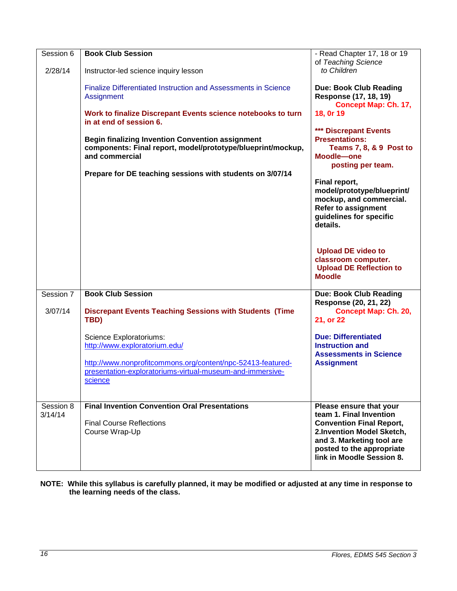| Session 6            | <b>Book Club Session</b>                                                                                                                 | - Read Chapter 17, 18 or 19<br>of Teaching Science                                                                                                                                                        |
|----------------------|------------------------------------------------------------------------------------------------------------------------------------------|-----------------------------------------------------------------------------------------------------------------------------------------------------------------------------------------------------------|
| 2/28/14              | Instructor-led science inquiry lesson                                                                                                    | to Children                                                                                                                                                                                               |
|                      | <b>Finalize Differentiated Instruction and Assessments in Science</b><br>Assignment                                                      | <b>Due: Book Club Reading</b><br>Response (17, 18, 19)<br>Concept Map: Ch. 17,                                                                                                                            |
|                      | Work to finalize Discrepant Events science notebooks to turn<br>in at end of session 6.                                                  | 18, 0r 19                                                                                                                                                                                                 |
|                      | <b>Begin finalizing Invention Convention assignment</b><br>components: Final report, model/prototype/blueprint/mockup,<br>and commercial | *** Discrepant Events<br><b>Presentations:</b><br><b>Teams 7, 8, &amp; 9 Post to</b><br>Moodle-one<br>posting per team.                                                                                   |
|                      | Prepare for DE teaching sessions with students on 3/07/14                                                                                | Final report,<br>model/prototype/blueprint/<br>mockup, and commercial.<br><b>Refer to assignment</b><br>guidelines for specific<br>details.                                                               |
|                      |                                                                                                                                          | <b>Upload DE video to</b><br>classroom computer.<br><b>Upload DE Reflection to</b><br><b>Moodle</b>                                                                                                       |
| Session 7            | <b>Book Club Session</b>                                                                                                                 | <b>Due: Book Club Reading</b><br>Response (20, 21, 22)                                                                                                                                                    |
| 3/07/14              | <b>Discrepant Events Teaching Sessions with Students (Time</b><br>TBD)                                                                   | <b>Concept Map: Ch. 20,</b><br>21, or 22                                                                                                                                                                  |
|                      | Science Exploratoriums:<br>http://www.exploratorium.edu/                                                                                 | <b>Due: Differentiated</b><br><b>Instruction and</b><br><b>Assessments in Science</b>                                                                                                                     |
|                      | http://www.nonprofitcommons.org/content/npc-52413-featured-<br>presentation-exploratoriums-virtual-museum-and-immersive-<br>science      | <b>Assignment</b>                                                                                                                                                                                         |
| Session 8<br>3/14/14 | <b>Final Invention Convention Oral Presentations</b><br><b>Final Course Reflections</b><br>Course Wrap-Up                                | Please ensure that your<br>team 1. Final Invention<br><b>Convention Final Report,</b><br>2.Invention Model Sketch,<br>and 3. Marketing tool are<br>posted to the appropriate<br>link in Moodle Session 8. |

**NOTE: While this syllabus is carefully planned, it may be modified or adjusted at any time in response to the learning needs of the class.**